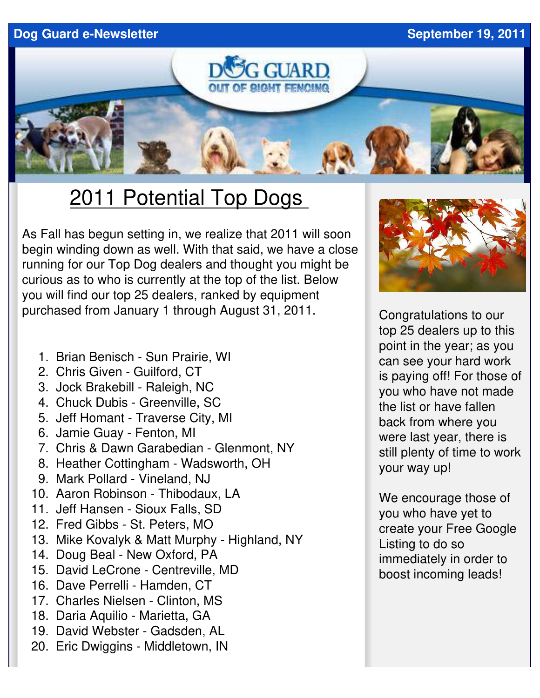**Dog Guard e-Newsletter September 19, 2011** 



## 2011 Potential Top Dogs

As Fall has begun setting in, we realize that 2011 will soon begin winding down as well. With that said, we have a close running for our Top Dog dealers and thought you might be curious as to who is currently at the top of the list. Below you will find our top 25 dealers, ranked by equipment purchased from January 1 through August 31, 2011.

- 1. Brian Benisch Sun Prairie, WI
- 2. Chris Given Guilford, CT
- 3. Jock Brakebill Raleigh, NC
- 4. Chuck Dubis Greenville, SC
- 5. Jeff Homant Traverse City, MI
- 6. Jamie Guay Fenton, MI
- 7. Chris & Dawn Garabedian Glenmont, NY
- 8. Heather Cottingham Wadsworth, OH
- 9. Mark Pollard Vineland, NJ
- 10. Aaron Robinson Thibodaux, LA
- 11. Jeff Hansen Sioux Falls, SD
- 12. Fred Gibbs St. Peters, MO
- 13. Mike Kovalyk & Matt Murphy Highland, NY
- 14. Doug Beal New Oxford, PA
- 15. David LeCrone Centreville, MD
- 16. Dave Perrelli Hamden, CT
- 17. Charles Nielsen Clinton, MS
- 18. Daria Aquilio Marietta, GA
- 19. David Webster Gadsden, AL
- 20. Eric Dwiggins Middletown, IN



Congratulations to our top 25 dealers up to this point in the year; as you can see your hard work is paying off! For those of you who have not made the list or have fallen back from where you were last year, there is still plenty of time to work your way up!

We encourage those of you who have yet to create your Free Google Listing to do so immediately in order to boost incoming leads!